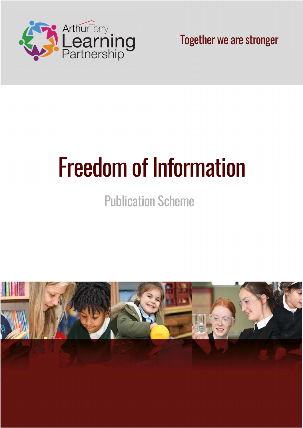

Together we are stronger

# Freedom of Information

## Publication Scheme

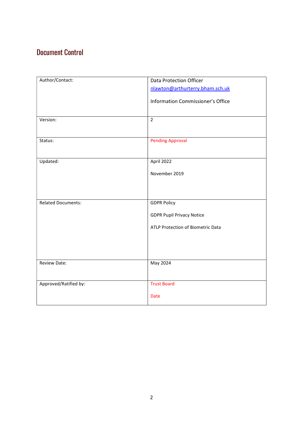## Document Control

| Author/Contact:           | Data Protection Officer           |
|---------------------------|-----------------------------------|
|                           | nlawton@arthurterry.bham.sch.uk   |
|                           |                                   |
|                           | Information Commissioner's Office |
|                           |                                   |
| Version:                  | $\overline{2}$                    |
|                           |                                   |
|                           |                                   |
| Status:                   | <b>Pending Approval</b>           |
|                           |                                   |
| Updated:                  | April 2022                        |
|                           |                                   |
|                           | November 2019                     |
|                           |                                   |
|                           |                                   |
| <b>Related Documents:</b> | <b>GDPR Policy</b>                |
|                           |                                   |
|                           | <b>GDPR Pupil Privacy Notice</b>  |
|                           | ATLP Protection of Biometric Data |
|                           |                                   |
|                           |                                   |
|                           |                                   |
|                           |                                   |
| <b>Review Date:</b>       | May 2024                          |
|                           |                                   |
| Approved/Ratified by:     | <b>Trust Board</b>                |
|                           |                                   |
|                           | <b>Date</b>                       |
|                           |                                   |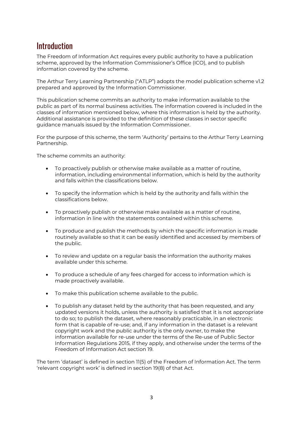## **Introduction**

The Freedom of Information Act requires every public authority to have a publication scheme, approved by the Information Commissioner's Office (ICO), and to publish information covered by the scheme.

The Arthur Terry Learning Partnership ("ATLP") adopts the model publication scheme v1.2 prepared and approved by the Information Commissioner.

This publication scheme commits an authority to make information available to the public as part of its normal business activities. The information covered is included in the classes of information mentioned below, where this information is held by the authority. Additional assistance is provided to the definition of these classes in sector specific guidance manuals issued by the Information Commissioner.

For the purpose of this scheme, the term 'Authority' pertains to the Arthur Terry Learning Partnership.

The scheme commits an authority:

- To proactively publish or otherwise make available as a matter of routine, information, including environmental information, which is held by the authority and falls within the classifications below.
- To specify the information which is held by the authority and falls within the classifications below.
- To proactively publish or otherwise make available as a matter of routine, information in line with the statements contained within this scheme.
- To produce and publish the methods by which the specific information is made routinely available so that it can be easily identified and accessed by members of the public.
- To review and update on a regular basis the information the authority makes available under this scheme.
- To produce a schedule of any fees charged for access to information which is made proactively available.
- To make this publication scheme available to the public.
- To publish any dataset held by the authority that has been requested, and any updated versions it holds, unless the authority is satisfied that it is not appropriate to do so; to publish the dataset, where reasonably practicable, in an electronic form that is capable of re-use; and, if any information in the dataset is a relevant copyright work and the public authority is the only owner, to make the information available for re-use under the terms of the Re-use of Public Sector Information Regulations 2015, if they apply, and otherwise under the terms of the Freedom of Information Act section 19.

The term 'dataset' is defined in section 11(5) of the Freedom of Information Act. The term 'relevant copyright work' is defined in section 19(8) of that Act.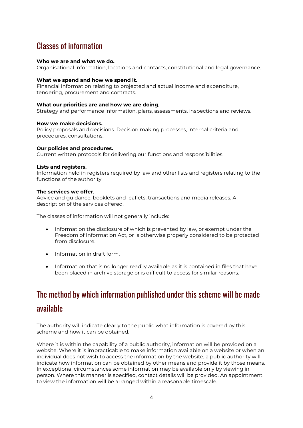## Classes of information

#### Who we are and what we do.

Organisational information, locations and contacts, constitutional and legal governance.

#### What we spend and how we spend it.

Financial information relating to projected and actual income and expenditure, tendering, procurement and contracts.

#### What our priorities are and how we are doing.

Strategy and performance information, plans, assessments, inspections and reviews.

#### How we make decisions.

Policy proposals and decisions. Decision making processes, internal criteria and procedures, consultations.

#### Our policies and procedures.

Current written protocols for delivering our functions and responsibilities.

#### Lists and registers.

Information held in registers required by law and other lists and registers relating to the functions of the authority.

#### The services we offer.

Advice and guidance, booklets and leaflets, transactions and media releases. A description of the services offered.

The classes of information will not generally include:

- Information the disclosure of which is prevented by law, or exempt under the Freedom of Information Act, or is otherwise properly considered to be protected from disclosure.
- $\bullet$  Information in draft form.
- Information that is no longer readily available as it is contained in files that have been placed in archive storage or is difficult to access for similar reasons.

## The method by which information published under this scheme will be made available

The authority will indicate clearly to the public what information is covered by this scheme and how it can be obtained.

Where it is within the capability of a public authority, information will be provided on a website. Where it is impracticable to make information available on a website or when an individual does not wish to access the information by the website, a public authority will indicate how information can be obtained by other means and provide it by those means. In exceptional circumstances some information may be available only by viewing in person. Where this manner is specified, contact details will be provided. An appointment to view the information will be arranged within a reasonable timescale.